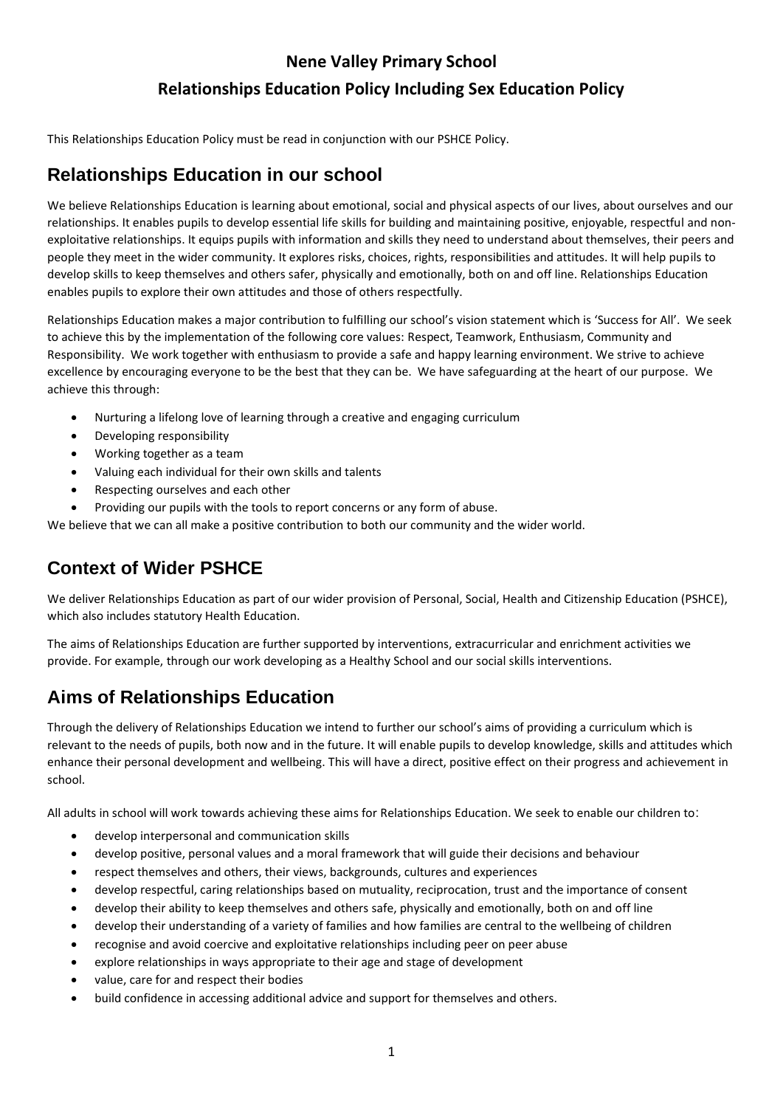# **Nene Valley Primary School Relationships Education Policy Including Sex Education Policy**

This Relationships Education Policy must be read in conjunction with our PSHCE Policy.

## **Relationships Education in our school**

We believe Relationships Education is learning about emotional, social and physical aspects of our lives, about ourselves and our relationships. It enables pupils to develop essential life skills for building and maintaining positive, enjoyable, respectful and nonexploitative relationships. It equips pupils with information and skills they need to understand about themselves, their peers and people they meet in the wider community. It explores risks, choices, rights, responsibilities and attitudes. It will help pupils to develop skills to keep themselves and others safer, physically and emotionally, both on and off line. Relationships Education enables pupils to explore their own attitudes and those of others respectfully.

Relationships Education makes a major contribution to fulfilling our school's vision statement which is 'Success for All'. We seek to achieve this by the implementation of the following core values: Respect, Teamwork, Enthusiasm, Community and Responsibility. We work together with enthusiasm to provide a safe and happy learning environment. We strive to achieve excellence by encouraging everyone to be the best that they can be. We have safeguarding at the heart of our purpose. We achieve this through:

- Nurturing a lifelong love of learning through a creative and engaging curriculum
- Developing responsibility
- Working together as a team
- Valuing each individual for their own skills and talents
- Respecting ourselves and each other
- Providing our pupils with the tools to report concerns or any form of abuse.

We believe that we can all make a positive contribution to both our community and the wider world.

## **Context of Wider PSHCE**

We deliver Relationships Education as part of our wider provision of Personal, Social, Health and Citizenship Education (PSHCE), which also includes statutory Health Education.

The aims of Relationships Education are further supported by interventions, extracurricular and enrichment activities we provide. For example, through our work developing as a Healthy School and our social skills interventions.

## **Aims of Relationships Education**

Through the delivery of Relationships Education we intend to further our school's aims of providing a curriculum which is relevant to the needs of pupils, both now and in the future. It will enable pupils to develop knowledge, skills and attitudes which enhance their personal development and wellbeing. This will have a direct, positive effect on their progress and achievement in school.

All adults in school will work towards achieving these aims for Relationships Education. We seek to enable our children to:

- develop interpersonal and communication skills
- develop positive, personal values and a moral framework that will guide their decisions and behaviour
- respect themselves and others, their views, backgrounds, cultures and experiences
- develop respectful, caring relationships based on mutuality, reciprocation, trust and the importance of consent
- develop their ability to keep themselves and others safe, physically and emotionally, both on and off line
- develop their understanding of a variety of families and how families are central to the wellbeing of children
- recognise and avoid coercive and exploitative relationships including peer on peer abuse
- explore relationships in ways appropriate to their age and stage of development
- value, care for and respect their bodies
- build confidence in accessing additional advice and support for themselves and others.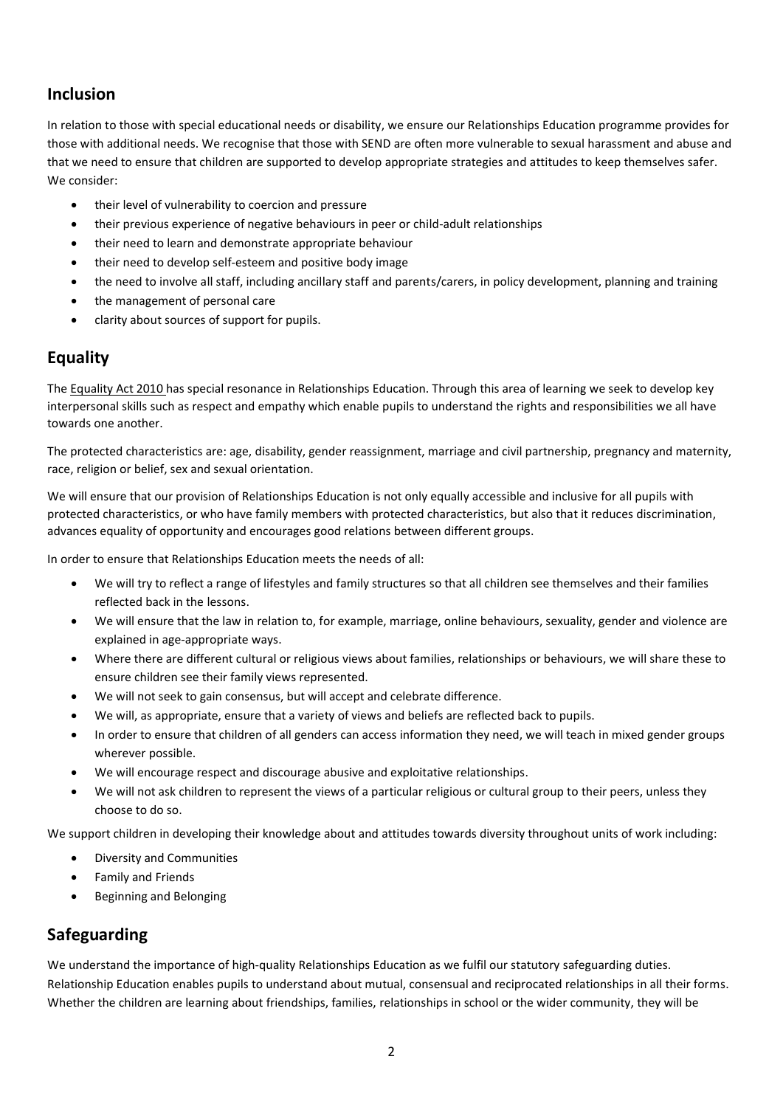## **Inclusion**

In relation to those with special educational needs or disability, we ensure our Relationships Education programme provides for those with additional needs. We recognise that those with SEND are often more vulnerable to sexual harassment and abuse and that we need to ensure that children are supported to develop appropriate strategies and attitudes to keep themselves safer. We consider:

- their level of vulnerability to coercion and pressure
- their previous experience of negative behaviours in peer or child-adult relationships
- their need to learn and demonstrate appropriate behaviour
- their need to develop self-esteem and positive body image
- the need to involve all staff, including ancillary staff and parents/carers, in policy development, planning and training
- the management of personal care
- clarity about sources of support for pupils.

### **Equality**

Th[e Equality Act 2010](http://www.legislation.gov.uk/ukpga/2010/15/contents) has special resonance in Relationships Education. Through this area of learning we seek to develop key interpersonal skills such as respect and empathy which enable pupils to understand the rights and responsibilities we all have towards one another.

The protected characteristics are: age, disability, gender reassignment, marriage and civil partnership, pregnancy and maternity, race, religion or belief, sex and sexual orientation.

We will ensure that our provision of Relationships Education is not only equally accessible and inclusive for all pupils with protected characteristics, or who have family members with protected characteristics, but also that it reduces discrimination, advances equality of opportunity and encourages good relations between different groups.

In order to ensure that Relationships Education meets the needs of all:

- We will try to reflect a range of lifestyles and family structures so that all children see themselves and their families reflected back in the lessons.
- We will ensure that the law in relation to, for example, marriage, online behaviours, sexuality, gender and violence are explained in age-appropriate ways.
- Where there are different cultural or religious views about families, relationships or behaviours, we will share these to ensure children see their family views represented.
- We will not seek to gain consensus, but will accept and celebrate difference.
- We will, as appropriate, ensure that a variety of views and beliefs are reflected back to pupils.
- In order to ensure that children of all genders can access information they need, we will teach in mixed gender groups wherever possible.
- We will encourage respect and discourage abusive and exploitative relationships.
- We will not ask children to represent the views of a particular religious or cultural group to their peers, unless they choose to do so.

We support children in developing their knowledge about and attitudes towards diversity throughout units of work including:

- Diversity and Communities
- Family and Friends
- Beginning and Belonging

### **Safeguarding**

We understand the importance of high-quality Relationships Education as we fulfil our statutory safeguarding duties. Relationship Education enables pupils to understand about mutual, consensual and reciprocated relationships in all their forms. Whether the children are learning about friendships, families, relationships in school or the wider community, they will be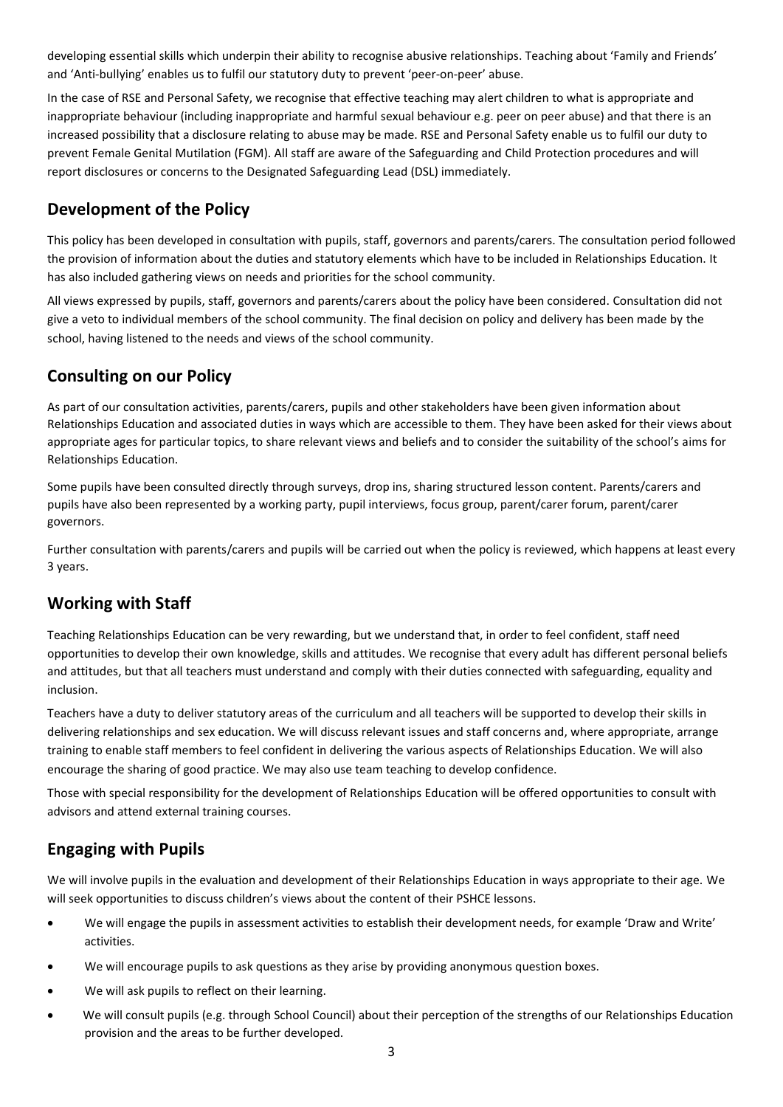developing essential skills which underpin their ability to recognise abusive relationships. Teaching about 'Family and Friends' and 'Anti-bullying' enables us to fulfil our statutory duty to prevent 'peer-on-peer' abuse.

In the case of RSE and Personal Safety, we recognise that effective teaching may alert children to what is appropriate and inappropriate behaviour (including inappropriate and harmful sexual behaviour e.g. peer on peer abuse) and that there is an increased possibility that a disclosure relating to abuse may be made. RSE and Personal Safety enable us to fulfil our duty to prevent Female Genital Mutilation (FGM). All staff are aware of the Safeguarding and Child Protection procedures and will report disclosures or concerns to the Designated Safeguarding Lead (DSL) immediately.

#### **Development of the Policy**

This policy has been developed in consultation with pupils, staff, governors and parents/carers. The consultation period followed the provision of information about the duties and statutory elements which have to be included in Relationships Education. It has also included gathering views on needs and priorities for the school community.

All views expressed by pupils, staff, governors and parents/carers about the policy have been considered. Consultation did not give a veto to individual members of the school community. The final decision on policy and delivery has been made by the school, having listened to the needs and views of the school community.

### **Consulting on our Policy**

As part of our consultation activities, parents/carers, pupils and other stakeholders have been given information about Relationships Education and associated duties in ways which are accessible to them. They have been asked for their views about appropriate ages for particular topics, to share relevant views and beliefs and to consider the suitability of the school's aims for Relationships Education.

Some pupils have been consulted directly through surveys, drop ins, sharing structured lesson content. Parents/carers and pupils have also been represented by a working party, pupil interviews, focus group, parent/carer forum, parent/carer governors.

Further consultation with parents/carers and pupils will be carried out when the policy is reviewed, which happens at least every 3 years.

#### **Working with Staff**

Teaching Relationships Education can be very rewarding, but we understand that, in order to feel confident, staff need opportunities to develop their own knowledge, skills and attitudes. We recognise that every adult has different personal beliefs and attitudes, but that all teachers must understand and comply with their duties connected with safeguarding, equality and inclusion.

Teachers have a duty to deliver statutory areas of the curriculum and all teachers will be supported to develop their skills in delivering relationships and sex education. We will discuss relevant issues and staff concerns and, where appropriate, arrange training to enable staff members to feel confident in delivering the various aspects of Relationships Education. We will also encourage the sharing of good practice. We may also use team teaching to develop confidence.

Those with special responsibility for the development of Relationships Education will be offered opportunities to consult with advisors and attend external training courses.

### **Engaging with Pupils**

We will involve pupils in the evaluation and development of their Relationships Education in ways appropriate to their age. We will seek opportunities to discuss children's views about the content of their PSHCE lessons.

- We will engage the pupils in assessment activities to establish their development needs, for example 'Draw and Write' activities.
- We will encourage pupils to ask questions as they arise by providing anonymous question boxes.
- We will ask pupils to reflect on their learning.
- We will consult pupils (e.g. through School Council) about their perception of the strengths of our Relationships Education provision and the areas to be further developed.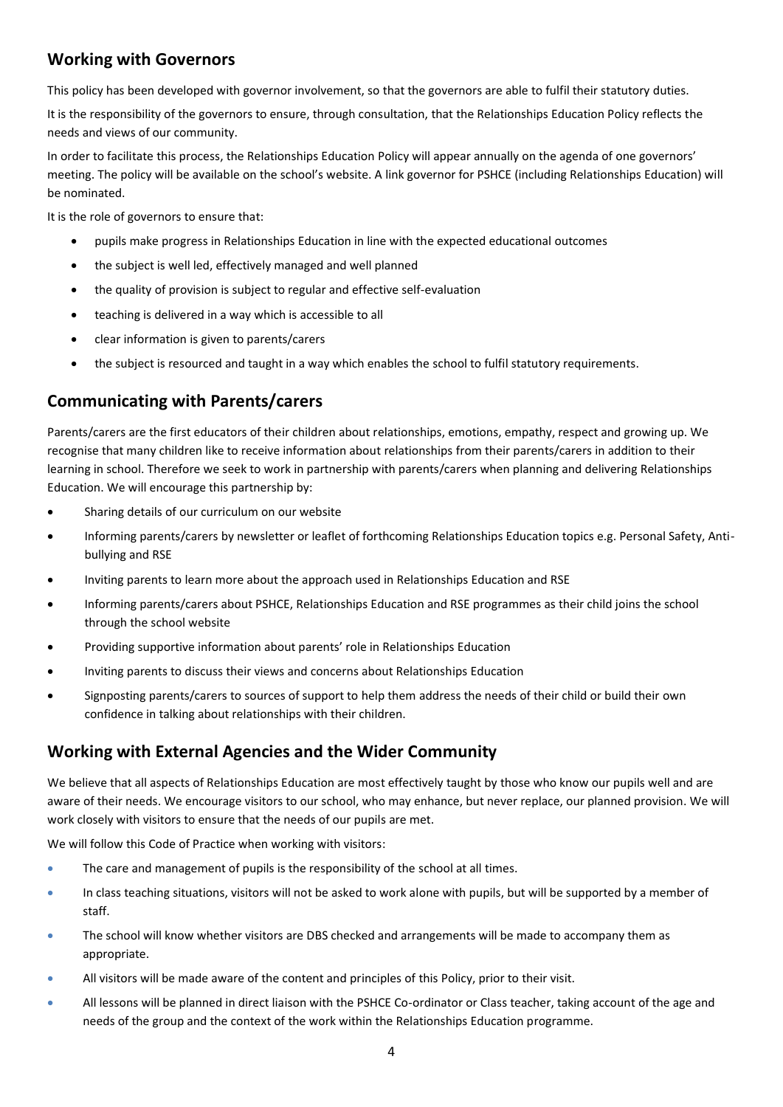#### **Working with Governors**

This policy has been developed with governor involvement, so that the governors are able to fulfil their statutory duties.

It is the responsibility of the governors to ensure, through consultation, that the Relationships Education Policy reflects the needs and views of our community.

In order to facilitate this process, the Relationships Education Policy will appear annually on the agenda of one governors' meeting. The policy will be available on the school's website. A link governor for PSHCE (including Relationships Education) will be nominated.

It is the role of governors to ensure that:

- pupils make progress in Relationships Education in line with the expected educational outcomes
- the subject is well led, effectively managed and well planned
- the quality of provision is subject to regular and effective self-evaluation
- teaching is delivered in a way which is accessible to all
- clear information is given to parents/carers
- the subject is resourced and taught in a way which enables the school to fulfil statutory requirements.

#### **Communicating with Parents/carers**

Parents/carers are the first educators of their children about relationships, emotions, empathy, respect and growing up. We recognise that many children like to receive information about relationships from their parents/carers in addition to their learning in school. Therefore we seek to work in partnership with parents/carers when planning and delivering Relationships Education. We will encourage this partnership by:

- Sharing details of our curriculum on our website
- Informing parents/carers by newsletter or leaflet of forthcoming Relationships Education topics e.g. Personal Safety, Antibullying and RSE
- Inviting parents to learn more about the approach used in Relationships Education and RSE
- Informing parents/carers about PSHCE, Relationships Education and RSE programmes as their child joins the school through the school website
- Providing supportive information about parents' role in Relationships Education
- Inviting parents to discuss their views and concerns about Relationships Education
- Signposting parents/carers to sources of support to help them address the needs of their child or build their own confidence in talking about relationships with their children.

#### **Working with External Agencies and the Wider Community**

We believe that all aspects of Relationships Education are most effectively taught by those who know our pupils well and are aware of their needs. We encourage visitors to our school, who may enhance, but never replace, our planned provision. We will work closely with visitors to ensure that the needs of our pupils are met.

We will follow this Code of Practice when working with visitors:

- The care and management of pupils is the responsibility of the school at all times.
- In class teaching situations, visitors will not be asked to work alone with pupils, but will be supported by a member of staff.
- The school will know whether visitors are DBS checked and arrangements will be made to accompany them as appropriate.
- All visitors will be made aware of the content and principles of this Policy, prior to their visit.
- All lessons will be planned in direct liaison with the PSHCE Co-ordinator or Class teacher, taking account of the age and needs of the group and the context of the work within the Relationships Education programme.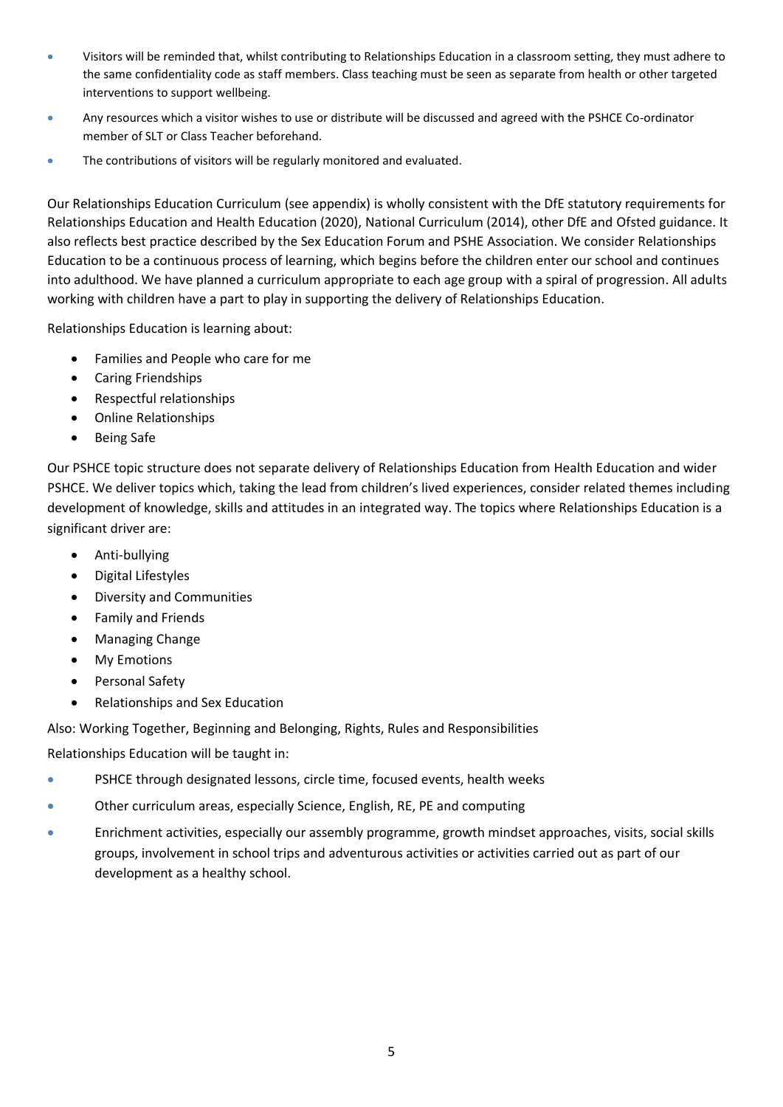- Visitors will be reminded that, whilst contributing to Relationships Education in a classroom setting, they must adhere to the same confidentiality code as staff members. Class teaching must be seen as separate from health or other targeted interventions to support wellbeing.
- Any resources which a visitor wishes to use or distribute will be discussed and agreed with the PSHCE Co-ordinator member of SLT or Class Teacher beforehand.
- The contributions of visitors will be regularly monitored and evaluated.

Our Relationships Education Curriculum (see appendix) is wholly consistent with the DfE statutory requirements for Relationships Education and Health Education (2020), National Curriculum (2014), other DfE and Ofsted guidance. It also reflects best practice described by the Sex Education Forum and PSHE Association. We consider Relationships Education to be a continuous process of learning, which begins before the children enter our school and continues into adulthood. We have planned a curriculum appropriate to each age group with a spiral of progression. All adults working with children have a part to play in supporting the delivery of Relationships Education.

Relationships Education is learning about:

- Families and People who care for me
- Caring Friendships
- Respectful relationships
- Online Relationships
- Being Safe

Our PSHCE topic structure does not separate delivery of Relationships Education from Health Education and wider PSHCE. We deliver topics which, taking the lead from children's lived experiences, consider related themes including development of knowledge, skills and attitudes in an integrated way. The topics where Relationships Education is a significant driver are:

- Anti-bullying
- Digital Lifestyles
- Diversity and Communities
- Family and Friends
- Managing Change
- My Emotions
- Personal Safety
- Relationships and Sex Education

Also: Working Together, Beginning and Belonging, Rights, Rules and Responsibilities

Relationships Education will be taught in:

- PSHCE through designated lessons, circle time, focused events, health weeks
- Other curriculum areas, especially Science, English, RE, PE and computing
- Enrichment activities, especially our assembly programme, growth mindset approaches, visits, social skills groups, involvement in school trips and adventurous activities or activities carried out as part of our development as a healthy school.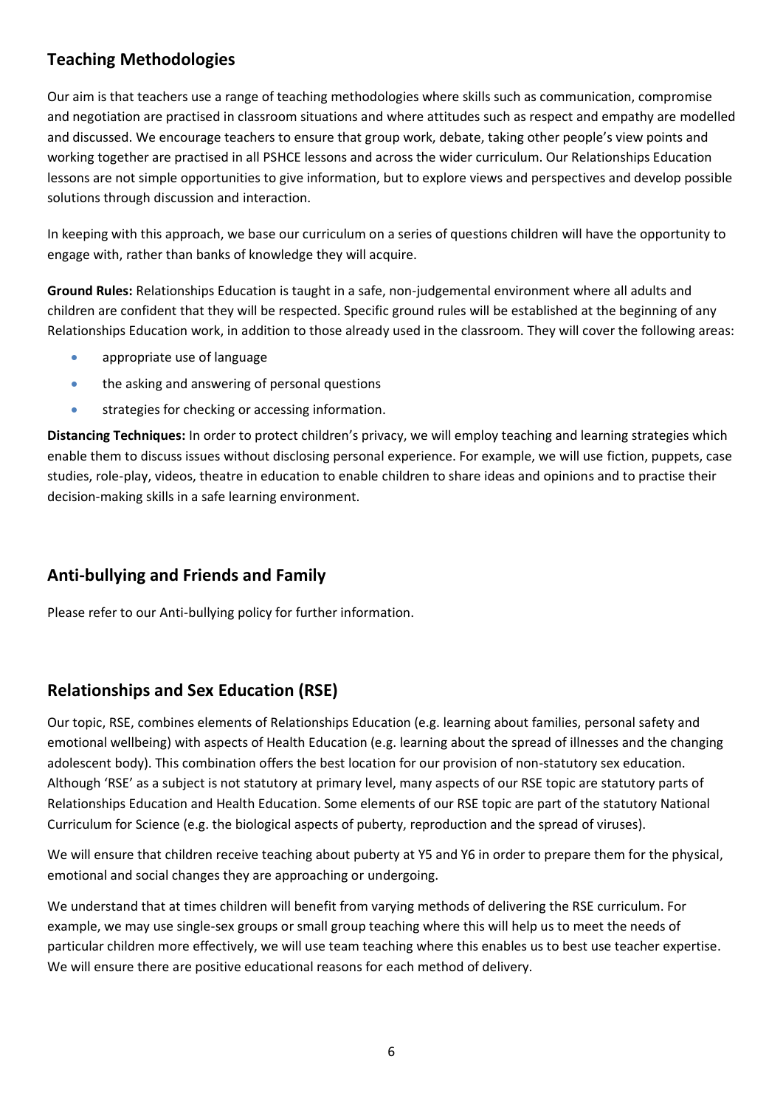## **Teaching Methodologies**

Our aim is that teachers use a range of teaching methodologies where skills such as communication, compromise and negotiation are practised in classroom situations and where attitudes such as respect and empathy are modelled and discussed. We encourage teachers to ensure that group work, debate, taking other people's view points and working together are practised in all PSHCE lessons and across the wider curriculum. Our Relationships Education lessons are not simple opportunities to give information, but to explore views and perspectives and develop possible solutions through discussion and interaction.

In keeping with this approach, we base our curriculum on a series of questions children will have the opportunity to engage with, rather than banks of knowledge they will acquire.

**Ground Rules:** Relationships Education is taught in a safe, non-judgemental environment where all adults and children are confident that they will be respected. Specific ground rules will be established at the beginning of any Relationships Education work, in addition to those already used in the classroom. They will cover the following areas:

- appropriate use of language
- the asking and answering of personal questions
- strategies for checking or accessing information.

**Distancing Techniques:** In order to protect children's privacy, we will employ teaching and learning strategies which enable them to discuss issues without disclosing personal experience. For example, we will use fiction, puppets, case studies, role-play, videos, theatre in education to enable children to share ideas and opinions and to practise their decision-making skills in a safe learning environment.

### **Anti-bullying and Friends and Family**

Please refer to our Anti-bullying policy for further information.

### **Relationships and Sex Education (RSE)**

Our topic, RSE, combines elements of Relationships Education (e.g. learning about families, personal safety and emotional wellbeing) with aspects of Health Education (e.g. learning about the spread of illnesses and the changing adolescent body). This combination offers the best location for our provision of non-statutory sex education. Although 'RSE' as a subject is not statutory at primary level, many aspects of our RSE topic are statutory parts of Relationships Education and Health Education. Some elements of our RSE topic are part of the statutory National Curriculum for Science (e.g. the biological aspects of puberty, reproduction and the spread of viruses).

We will ensure that children receive teaching about puberty at Y5 and Y6 in order to prepare them for the physical, emotional and social changes they are approaching or undergoing.

We understand that at times children will benefit from varying methods of delivering the RSE curriculum. For example, we may use single-sex groups or small group teaching where this will help us to meet the needs of particular children more effectively, we will use team teaching where this enables us to best use teacher expertise. We will ensure there are positive educational reasons for each method of delivery.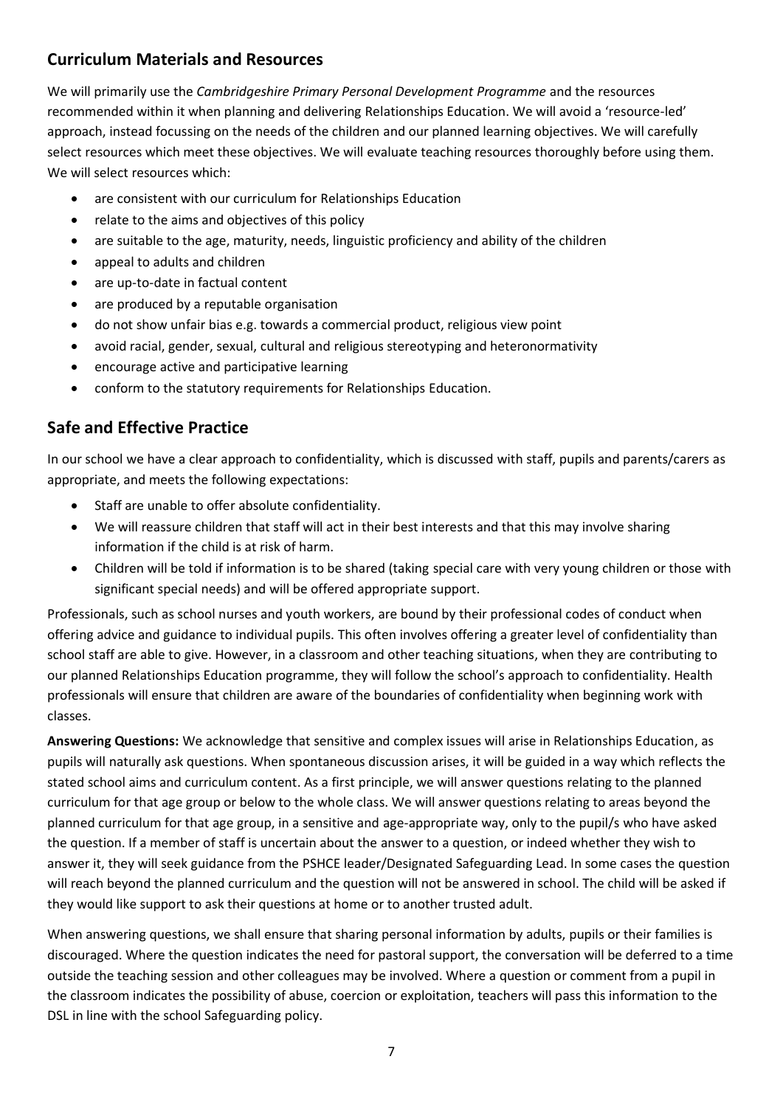#### **Curriculum Materials and Resources**

We will primarily use the *Cambridgeshire Primary Personal Development Programme* and the resources recommended within it when planning and delivering Relationships Education. We will avoid a 'resource-led' approach, instead focussing on the needs of the children and our planned learning objectives. We will carefully select resources which meet these objectives. We will evaluate teaching resources thoroughly before using them. We will select resources which:

- are consistent with our curriculum for Relationships Education
- relate to the aims and objectives of this policy
- are suitable to the age, maturity, needs, linguistic proficiency and ability of the children
- appeal to adults and children
- are up-to-date in factual content
- are produced by a reputable organisation
- do not show unfair bias e.g. towards a commercial product, religious view point
- avoid racial, gender, sexual, cultural and religious stereotyping and heteronormativity
- encourage active and participative learning
- conform to the statutory requirements for Relationships Education.

#### **Safe and Effective Practice**

In our school we have a clear approach to confidentiality, which is discussed with staff, pupils and parents/carers as appropriate, and meets the following expectations:

- Staff are unable to offer absolute confidentiality.
- We will reassure children that staff will act in their best interests and that this may involve sharing information if the child is at risk of harm.
- Children will be told if information is to be shared (taking special care with very young children or those with significant special needs) and will be offered appropriate support.

Professionals, such as school nurses and youth workers, are bound by their professional codes of conduct when offering advice and guidance to individual pupils. This often involves offering a greater level of confidentiality than school staff are able to give. However, in a classroom and other teaching situations, when they are contributing to our planned Relationships Education programme, they will follow the school's approach to confidentiality. Health professionals will ensure that children are aware of the boundaries of confidentiality when beginning work with classes.

**Answering Questions:** We acknowledge that sensitive and complex issues will arise in Relationships Education, as pupils will naturally ask questions. When spontaneous discussion arises, it will be guided in a way which reflects the stated school aims and curriculum content. As a first principle, we will answer questions relating to the planned curriculum for that age group or below to the whole class. We will answer questions relating to areas beyond the planned curriculum for that age group, in a sensitive and age-appropriate way, only to the pupil/s who have asked the question. If a member of staff is uncertain about the answer to a question, or indeed whether they wish to answer it, they will seek guidance from the PSHCE leader/Designated Safeguarding Lead. In some cases the question will reach beyond the planned curriculum and the question will not be answered in school. The child will be asked if they would like support to ask their questions at home or to another trusted adult.

When answering questions, we shall ensure that sharing personal information by adults, pupils or their families is discouraged. Where the question indicates the need for pastoral support, the conversation will be deferred to a time outside the teaching session and other colleagues may be involved. Where a question or comment from a pupil in the classroom indicates the possibility of abuse, coercion or exploitation, teachers will pass this information to the DSL in line with the school Safeguarding policy.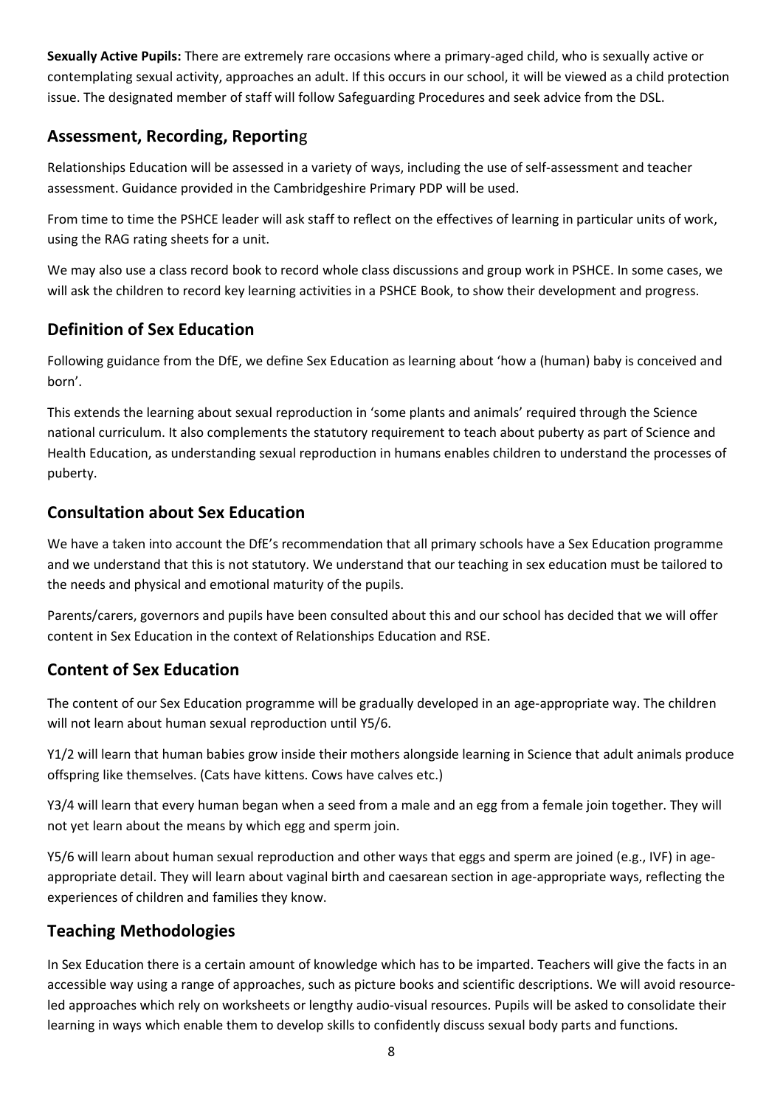**Sexually Active Pupils:** There are extremely rare occasions where a primary-aged child, who is sexually active or contemplating sexual activity, approaches an adult. If this occurs in our school, it will be viewed as a child protection issue. The designated member of staff will follow Safeguarding Procedures and seek advice from the DSL.

## **Assessment, Recording, Reportin**g

Relationships Education will be assessed in a variety of ways, including the use of self-assessment and teacher assessment. Guidance provided in the Cambridgeshire Primary PDP will be used.

From time to time the PSHCE leader will ask staff to reflect on the effectives of learning in particular units of work, using the RAG rating sheets for a unit.

We may also use a class record book to record whole class discussions and group work in PSHCE. In some cases, we will ask the children to record key learning activities in a PSHCE Book, to show their development and progress.

## **Definition of Sex Education**

Following guidance from the DfE, we define Sex Education as learning about 'how a (human) baby is conceived and born'.

This extends the learning about sexual reproduction in 'some plants and animals' required through the Science national curriculum. It also complements the statutory requirement to teach about puberty as part of Science and Health Education, as understanding sexual reproduction in humans enables children to understand the processes of puberty.

### **Consultation about Sex Education**

We have a taken into account the DfE's recommendation that all primary schools have a Sex Education programme and we understand that this is not statutory. We understand that our teaching in sex education must be tailored to the needs and physical and emotional maturity of the pupils.

Parents/carers, governors and pupils have been consulted about this and our school has decided that we will offer content in Sex Education in the context of Relationships Education and RSE.

### **Content of Sex Education**

The content of our Sex Education programme will be gradually developed in an age-appropriate way. The children will not learn about human sexual reproduction until Y5/6.

Y1/2 will learn that human babies grow inside their mothers alongside learning in Science that adult animals produce offspring like themselves. (Cats have kittens. Cows have calves etc.)

Y3/4 will learn that every human began when a seed from a male and an egg from a female join together. They will not yet learn about the means by which egg and sperm join.

Y5/6 will learn about human sexual reproduction and other ways that eggs and sperm are joined (e.g., IVF) in ageappropriate detail. They will learn about vaginal birth and caesarean section in age-appropriate ways, reflecting the experiences of children and families they know.

### **Teaching Methodologies**

In Sex Education there is a certain amount of knowledge which has to be imparted. Teachers will give the facts in an accessible way using a range of approaches, such as picture books and scientific descriptions. We will avoid resourceled approaches which rely on worksheets or lengthy audio-visual resources. Pupils will be asked to consolidate their learning in ways which enable them to develop skills to confidently discuss sexual body parts and functions.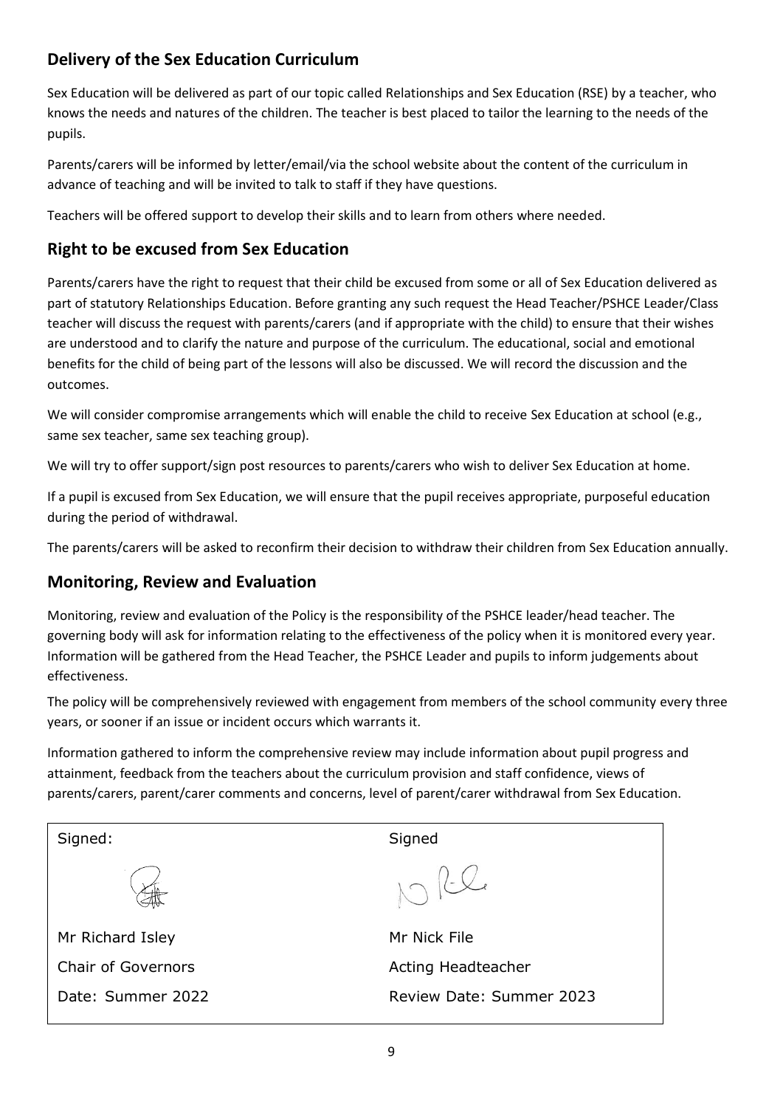## **Delivery of the Sex Education Curriculum**

Sex Education will be delivered as part of our topic called Relationships and Sex Education (RSE) by a teacher, who knows the needs and natures of the children. The teacher is best placed to tailor the learning to the needs of the pupils.

Parents/carers will be informed by letter/email/via the school website about the content of the curriculum in advance of teaching and will be invited to talk to staff if they have questions.

Teachers will be offered support to develop their skills and to learn from others where needed.

### **Right to be excused from Sex Education**

Parents/carers have the right to request that their child be excused from some or all of Sex Education delivered as part of statutory Relationships Education. Before granting any such request the Head Teacher/PSHCE Leader/Class teacher will discuss the request with parents/carers (and if appropriate with the child) to ensure that their wishes are understood and to clarify the nature and purpose of the curriculum. The educational, social and emotional benefits for the child of being part of the lessons will also be discussed. We will record the discussion and the outcomes.

We will consider compromise arrangements which will enable the child to receive Sex Education at school (e.g., same sex teacher, same sex teaching group).

We will try to offer support/sign post resources to parents/carers who wish to deliver Sex Education at home.

If a pupil is excused from Sex Education, we will ensure that the pupil receives appropriate, purposeful education during the period of withdrawal.

The parents/carers will be asked to reconfirm their decision to withdraw their children from Sex Education annually.

### **Monitoring, Review and Evaluation**

Monitoring, review and evaluation of the Policy is the responsibility of the PSHCE leader/head teacher. The governing body will ask for information relating to the effectiveness of the policy when it is monitored every year. Information will be gathered from the Head Teacher, the PSHCE Leader and pupils to inform judgements about effectiveness.

The policy will be comprehensively reviewed with engagement from members of the school community every three years, or sooner if an issue or incident occurs which warrants it.

Information gathered to inform the comprehensive review may include information about pupil progress and attainment, feedback from the teachers about the curriculum provision and staff confidence, views of parents/carers, parent/carer comments and concerns, level of parent/carer withdrawal from Sex Education.

| Signed:                   | Signed                   |  |
|---------------------------|--------------------------|--|
|                           | 1712                     |  |
| Mr Richard Isley          | Mr Nick File             |  |
| <b>Chair of Governors</b> | Acting Headteacher       |  |
| Date: Summer 2022         | Review Date: Summer 2023 |  |
|                           |                          |  |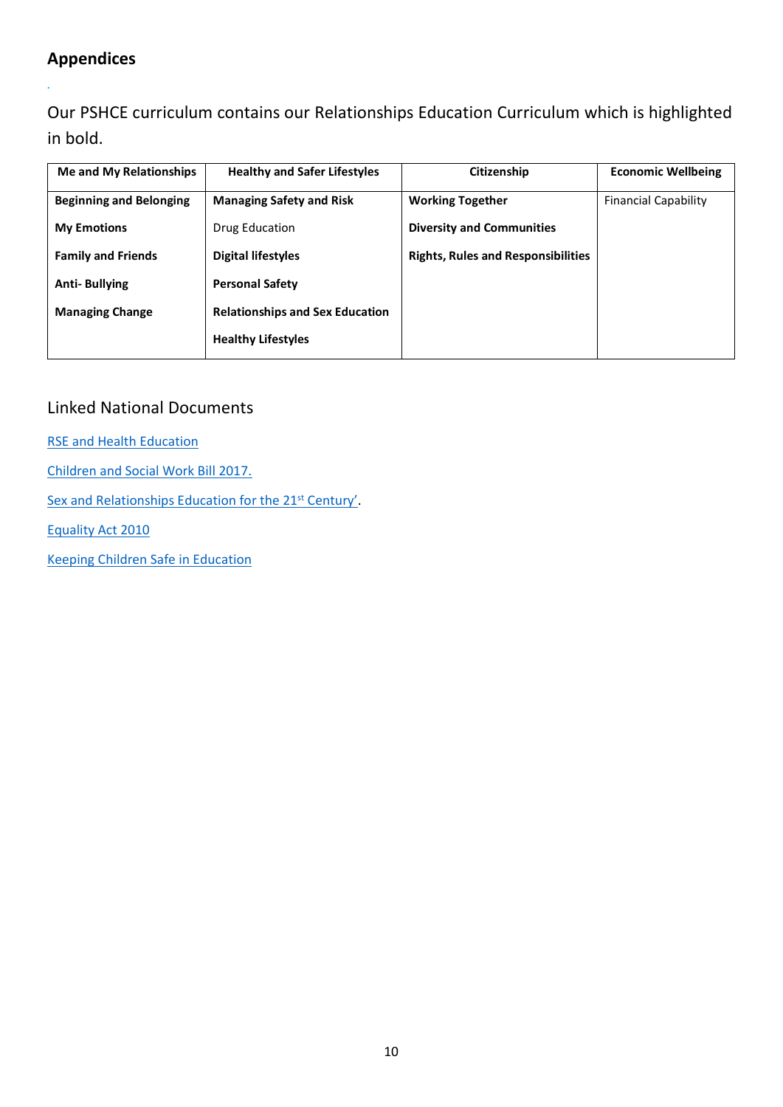# **Appendices**

*.*

Our PSHCE curriculum contains our Relationships Education Curriculum which is highlighted in bold.

| <b>Me and My Relationships</b> | <b>Healthy and Safer Lifestyles</b>    | Citizenship                               | <b>Economic Wellbeing</b>   |
|--------------------------------|----------------------------------------|-------------------------------------------|-----------------------------|
| <b>Beginning and Belonging</b> | <b>Managing Safety and Risk</b>        | <b>Working Together</b>                   | <b>Financial Capability</b> |
| <b>My Emotions</b>             | Drug Education                         | <b>Diversity and Communities</b>          |                             |
| <b>Family and Friends</b>      | <b>Digital lifestyles</b>              | <b>Rights, Rules and Responsibilities</b> |                             |
| <b>Anti-Bullying</b>           | <b>Personal Safety</b>                 |                                           |                             |
| <b>Managing Change</b>         | <b>Relationships and Sex Education</b> |                                           |                             |
|                                | <b>Healthy Lifestyles</b>              |                                           |                             |

#### Linked National Documents

[RSE and Health Education](https://assets.publishing.service.gov.uk/government/uploads/system/uploads/attachment_data/file/805781/Relationships_Education__Relationships_and_Sex_Education__RSE__and_Health_Education.pdf)

[Children and Social Work Bill 2017.](http://www.legislation.gov.uk/ukpga/2017/16/section/34/enacted)

[Sex and Relationships Education for the 21](http://www.sexeducationforum.org.uk/media/17706/sreadvice.pdf)<sup>st</sup> Century'.

[Equality Act 2010](http://www.legislation.gov.uk/ukpga/2010/15/contents)

[Keeping Children Safe in Education](https://assets.publishing.service.gov.uk/government/uploads/system/uploads/attachment_data/file/1021914/KCSIE_2021_September_guidance.pdf)